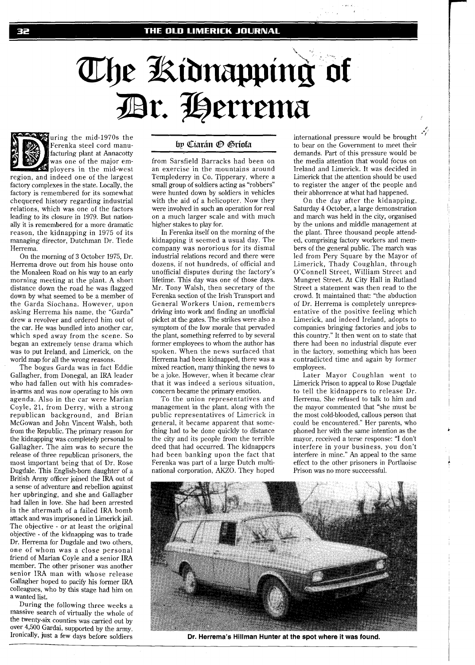## The Kidnapping of Dr. Herrema



uring the mid-1970s the Ferenka steel cord manufacturing plant at Annacotty

was one of the major employers in the mid-west region, and indeed one of the largest factory complexes in the state. Locally, the factory is remembered for its somewhat chequered history regarding industrial relations, which was one of the factors leading to its closure in 1979. But nationally it is remembered for a more dramatic reason, the kidnapping in 1975 of its managing director, Dutchman Dr. Tiede Herrema.

On the morning of **3** October 1975, Dr. Herrema drove out from his house onto the Monaleen Road on his way to an early morning meeting at the plant. A short distance down the road he was flagged down by what seemed to be a member of the Garda Siochana. However, upon asking Herrema his name, the "Garda" drew a revolver and ordered him out of the car. He was bundled into another car, which sped away from the scene. So began an extremely tense drama which was to put Ireland, and Limerick, on the world map for all the wrong reasons.

The bogus Garda was in fact Eddie Gallagher, from Donegal, an IRA leader who had fallen out with his comradesin-arms and was now operating to his own agenda. Also in the car were Marian Coyle, 21, from Derry, with a strong republican background, and Brian McGowan and John Vincent Walsh, both from the Republic. The primary reason for the kidnapping was completely personal to Gallagher. The aim was to secure the release of three republican prisoners, the most important being that of Dr. Rose Dugdale. This English-born daughter of a British Army officer joined the IRA out of a sense of adventure and rebellion against her upbringing, and she and Gallagher had fallen in love. She had been arrested in the aftermath of a failed IRA bomb attack and was imprisoned in Limerick jail. The objective - or at least the original objective - of the kidnapping was to trade Dr. Herrema for Dugdale and two others, one of whom was a close personal friend of Marian Coyle and a senior IRA member. The other prisoner was another senior IRA man with whose release Gallagher hoped to pacify his former IRA colleagues, who by this stage had him on a wanted list.

During the following three weeks a massive search of virtually the whole of the twenty-six counties was carried out by over 4,500 Gardai, supported by the army. Ironically, just a few days before soldiers

## by Ciarán ® Gríofa

from Sarsfield Barracks had been on an exercise in the mountains around Templederry in Co. Tipperary, where a small group of soldiers acting as "robbers" were hunted down by soldiers in vehicles with the aid of a helicopter. Now they were involved in such an operation for real on a much larger scale and with much higher stakes to play for.

In Ferenka itself on the morning of the kidnapping it seemed a usual day. The company was nororious for its dismal industrial relations record and there were dozens, if not hundreds, of official and unofficial disputes during the factory's lifetime. This day was one of those days. Mr. Tony Walsh, then secretary of the Ferenka section of the Irish Transport and General Workers Union, remembers driving into work and finding an unofficial picket at the gates. The strikes were also a symptom of the low morale that pervaded the plant, something referred to by several former employees to whom the author has spoken. When the news surfaced that Herrema had been kidnapped, there was a mixed reaction, many thinking the news to be a joke. However, when it became clear that it was indeed a serious situation, concern became the primary emotion.

To the union representatives and management in the plant, along with the public representatives of Limerick in general, it became apparent that something had to be done quickly to distance the city and its people from the terrible deed that had occurred. The kidnappers had been banking upon the fact that Ferenka was part of a large Dutch multinational corporation, AKZO. They hoped

international pressure would be brought to bear on the Government to meet their demands. Part of this pressure would be the media attention that would focus on Ireland and Limerick. It was decided in Limerick that the attention should be used to register the anger of the people and their abhorrence at what had happened.

On the day after the kidnapping, Saturday 4 October, a large demonstration and march was held in the city, organised by the unions and middle management at the plant. Three thousand people attended, comprising factory workers and members of the general public. The march was led from Pery Square by the Mayor of Limerick, Thady Coughlan, through O'Connell Street, William Street and Mungret Street. At City Hall in Rutland Street a statement was then read to the crowd. It maintained that: "the abduction of Dr. Herrema is completely unrepresentative of the positive feeling which Limerick, and indeed Ireland, adopts to companies bringing factories and jobs to this country." It then went on to state that there had been no industrial dispute ever in the factory, something which has been contradicted time and again by former employees.

Later Mayor Coughlan went to Limerick Prison to appeal to Rose Dugdale to tell the kidnappers to release Dr. Herrema. She refused to talk to him and the mayor commented that "she must be the most cold-blooded, callous person that could be encountered." Her parents, who phoned her with the same intention as the mayor, received a terse response: "I don't interfere in your business, you don't interfere in mine." An appeal to the same effect to the other prisoners in Portlaoise Prison was no more succeessful.



**Dr. Herrema's Hillman Hunter at the spot where it was found.**